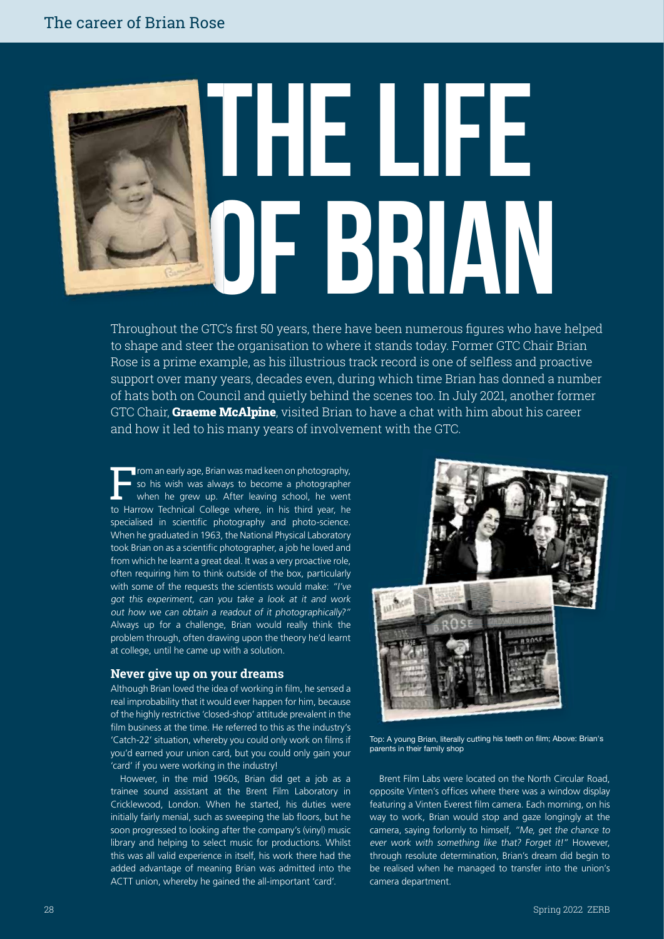# **The Life of Brian**

Throughout the GTC's first 50 years, there have been numerous figures who have helped to shape and steer the organisation to where it stands today. Former GTC Chair Brian Rose is a prime example, as his illustrious track record is one of selfless and proactive support over many years, decades even, during which time Brian has donned a number of hats both on Council and quietly behind the scenes too. In July 2021, another former GTC Chair, **Graeme McAlpine**, visited Brian to have a chat with him about his career and how it led to his many years of involvement with the GTC.

**Firom an early age, Brian was mad keen on photography,** so his wish was always to become a photographer when he grew up. After leaving school, he went to Harrow Technical College where, in his third year, he specialised in scientific photography and photo-science. When he graduated in 1963, the National Physical Laboratory took Brian on as a scientific photographer, a job he loved and from which he learnt a great deal. It was a very proactive role, often requiring him to think outside of the box, particularly with some of the requests the scientists would make: "I've got this experiment, can you take a look at it and work out how we can obtain a readout of it photographically?" Always up for a challenge, Brian would really think the problem through, often drawing upon the theory he'd learnt at college, until he came up with a solution.

#### **Never give up on your dreams**

Although Brian loved the idea of working in film, he sensed a real improbability that it would ever happen for him, because of the highly restrictive 'closed-shop' attitude prevalent in the film business at the time. He referred to this as the industry's 'Catch-22' situation, whereby you could only work on films if you'd earned your union card, but you could only gain your 'card' if you were working in the industry!

However, in the mid 1960s, Brian did get a job as a trainee sound assistant at the Brent Film Laboratory in Cricklewood, London. When he started, his duties were initially fairly menial, such as sweeping the lab floors, but he soon progressed to looking after the company's (vinyl) music library and helping to select music for productions. Whilst this was all valid experience in itself, his work there had the added advantage of meaning Brian was admitted into the ACTT union, whereby he gained the all-important 'card'.



Top: A young Brian, literally cutting his teeth on film; Above: Brian's parents in their family shop

Brent Film Labs were located on the North Circular Road, opposite Vinten's offices where there was a window display featuring a Vinten Everest film camera. Each morning, on his way to work, Brian would stop and gaze longingly at the camera, saying forlornly to himself, "Me, get the chance to ever work with something like that? Forget it!" However, through resolute determination, Brian's dream did begin to be realised when he managed to transfer into the union's camera department.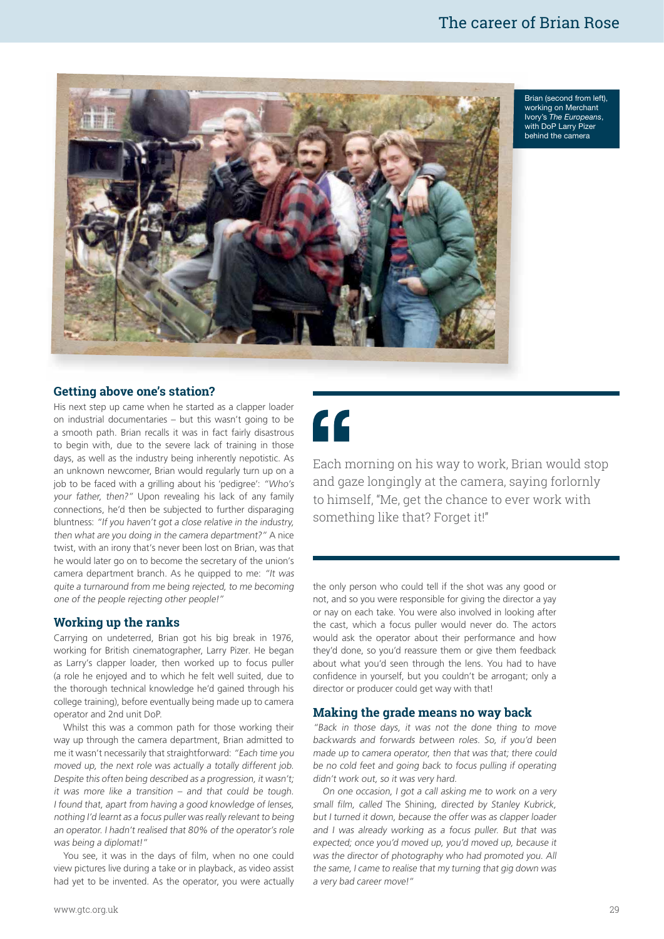

Brian (second from left), B working on Merchant w Ivory's The Europeans, with DoP Larry Pizer behind the camera b

#### **Getting above one's station?**

His next step up came when he started as a clapper loader on industrial documentaries – but this wasn't going to be a smooth path. Brian recalls it was in fact fairly disastrous to begin with, due to the severe lack of training in those days, as well as the industry being inherently nepotistic. As an unknown newcomer, Brian would regularly turn up on a job to be faced with a grilling about his 'pedigree': "Who's your father, then?" Upon revealing his lack of any family connections, he'd then be subjected to further disparaging bluntness: "If you haven't got a close relative in the industry, then what are you doing in the camera department?" A nice twist, with an irony that's never been lost on Brian, was that he would later go on to become the secretary of the union's camera department branch. As he quipped to me: "It was quite a turnaround from me being rejected, to me becoming one of the people rejecting other people!"

#### **Working up the ranks**

Carrying on undeterred, Brian got his big break in 1976, working for British cinematographer, Larry Pizer. He began as Larry's clapper loader, then worked up to focus puller (a role he enjoyed and to which he felt well suited, due to the thorough technical knowledge he'd gained through his college training), before eventually being made up to camera operator and 2nd unit DoP.

Whilst this was a common path for those working their way up through the camera department, Brian admitted to me it wasn't necessarily that straightforward: "Each time you moved up, the next role was actually a totally different job. Despite this often being described as a progression, it wasn't; it was more like a transition – and that could be tough. I found that, apart from having a good knowledge of lenses, nothing I'd learnt as a focus puller was really relevant to being an operator. I hadn't realised that 80% of the operator's role was being a diplomat!"

You see, it was in the days of film, when no one could view pictures live during a take or in playback, as video assist had yet to be invented. As the operator, you were actually  $\epsilon$ 

Each morning on his way to work, Brian would stop and gaze longingly at the camera, saying forlornly to himself, "Me, get the chance to ever work with something like that? Forget it!"

the only person who could tell if the shot was any good or not, and so you were responsible for giving the director a yay or nay on each take. You were also involved in looking after the cast, which a focus puller would never do. The actors would ask the operator about their performance and how they'd done, so you'd reassure them or give them feedback about what you'd seen through the lens. You had to have confidence in yourself, but you couldn't be arrogant; only a director or producer could get way with that!

#### **Making the grade means no way back**

"Back in those days, it was not the done thing to move backwards and forwards between roles. So, if you'd been made up to camera operator, then that was that; there could be no cold feet and going back to focus pulling if operating didn't work out, so it was very hard.

On one occasion, I got a call asking me to work on a very small film, called The Shining, directed by Stanley Kubrick, but I turned it down, because the offer was as clapper loader and I was already working as a focus puller. But that was expected; once you'd moved up, you'd moved up, because it was the director of photography who had promoted you. All the same, I came to realise that my turning that gig down was a very bad career move!"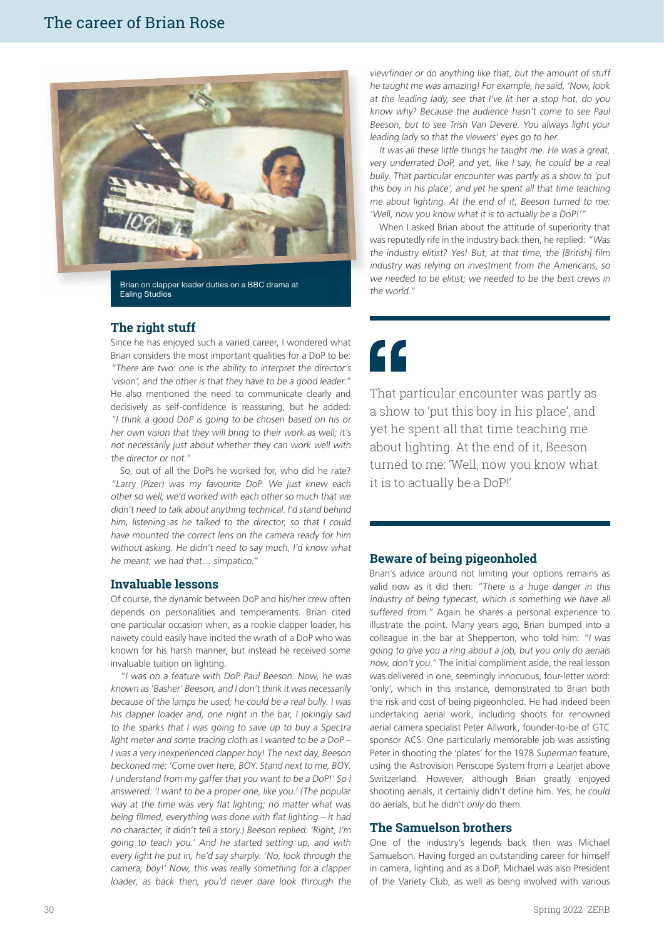

Brian on clapper loader duties on a BBC drama at Ealing Studios

#### **The right stuff**

Since he has enjoyed such a varied career, I wondered what Brian considers the most important qualities for a DoP to be: "There are two: one is the ability to interpret the director's 'vision', and the other is that they have to be a good leader." He also mentioned the need to communicate clearly and decisively as self-confidence is reassuring, but he added: "I think a good DoP is going to be chosen based on his or her own vision that they will bring to their work as well; it's not necessarily just about whether they can work well with the director or not."

So, out of all the DoPs he worked for, who did he rate? "Larry (Pizer) was my favourite DoP. We just knew each other so well; we'd worked with each other so much that we didn't need to talk about anything technical. I'd stand behind him, listening as he talked to the director, so that I could have mounted the correct lens on the camera ready for him without asking. He didn't need to say much, I'd know what he meant; we had that… simpatico."

#### **Invaluable lessons**

Of course, the dynamic between DoP and his/her crew often depends on personalities and temperaments. Brian cited one particular occasion when, as a rookie clapper loader, his naivety could easily have incited the wrath of a DoP who was known for his harsh manner, but instead he received some invaluable tuition on lighting.

"I was on a feature with DoP Paul Beeson. Now, he was known as 'Basher' Beeson, and I don't think it was necessarily because of the lamps he used; he could be a real bully. I was his clapper loader and, one night in the bar, I jokingly said to the sparks that I was going to save up to buy a Spectra light meter and some tracing cloth as I wanted to be a DoP – I was a very inexperienced clapper boy! The next day, Beeson beckoned me: 'Come over here, BOY. Stand next to me, BOY. I understand from my gaffer that you want to be a DoP!' So I answered: 'I want to be a proper one, like you.' (The popular way at the time was very flat lighting; no matter what was being filmed, everything was done with flat lighting – it had no character, it didn't tell a story.) Beeson replied: 'Right, I'm going to teach you.' And he started setting up, and with every light he put in, he'd say sharply: 'No, look through the camera, boy!' Now, this was really something for a clapper loader, as back then, you'd never dare look through the

viewfinder or do anything like that, but the amount of stuff he taught me was amazing! For example, he said, 'Now, look at the leading lady, see that I've lit her a stop hot, do you know why? Because the audience hasn't come to see Paul Beeson, but to see Trish Van Devere. You always light your leading lady so that the viewers' eyes go to her.

It was all these little things he taught me. He was a great, very underrated DoP, and yet, like I say, he could be a real bully. That particular encounter was partly as a show to 'put this boy in his place', and yet he spent all that time teaching me about lighting. At the end of it, Beeson turned to me: 'Well, now you know what it is to actually be a DoP!'"

When I asked Brian about the attitude of superiority that was reputedly rife in the industry back then, he replied: "Was the industry elitist? Yes! But, at that time, the [British] film industry was relying on investment from the Americans, so we needed to be elitist; we needed to be the best crews in the world."

## "

That particular encounter was partly as a show to 'put this boy in his place', and yet he spent all that time teaching me about lighting. At the end of it, Beeson turned to me: 'Well, now you know what it is to actually be a DoP!'

#### **Beware of being pigeonholed**

Brian's advice around not limiting your options remains as valid now as it did then: "There is a huge danger in this industry of being typecast, which is something we have all suffered from." Again he shares a personal experience to illustrate the point. Many years ago, Brian bumped into a colleague in the bar at Shepperton, who told him: "I was going to give you a ring about a job, but you only do aerials now, don't you." The initial compliment aside, the real lesson was delivered in one, seemingly innocuous, four-letter word: 'only', which in this instance, demonstrated to Brian both the risk and cost of being pigeonholed. He had indeed been undertaking aerial work, including shoots for renowned aerial camera specialist Peter Allwork, founder-to-be of GTC sponsor ACS. One particularly memorable job was assisting Peter in shooting the 'plates' for the 1978 Superman feature, using the Astrovision Periscope System from a Learjet above Switzerland. However, although Brian greatly enjoyed shooting aerials, it certainly didn't define him. Yes, he *could* do aerials, but he didn't *only* do them.

#### **The Samuelson brothers**

One of the industry's legends back then was Michael Samuelson. Having forged an outstanding career for himself in camera, lighting and as a DoP, Michael was also President of the Variety Club, as well as being involved with various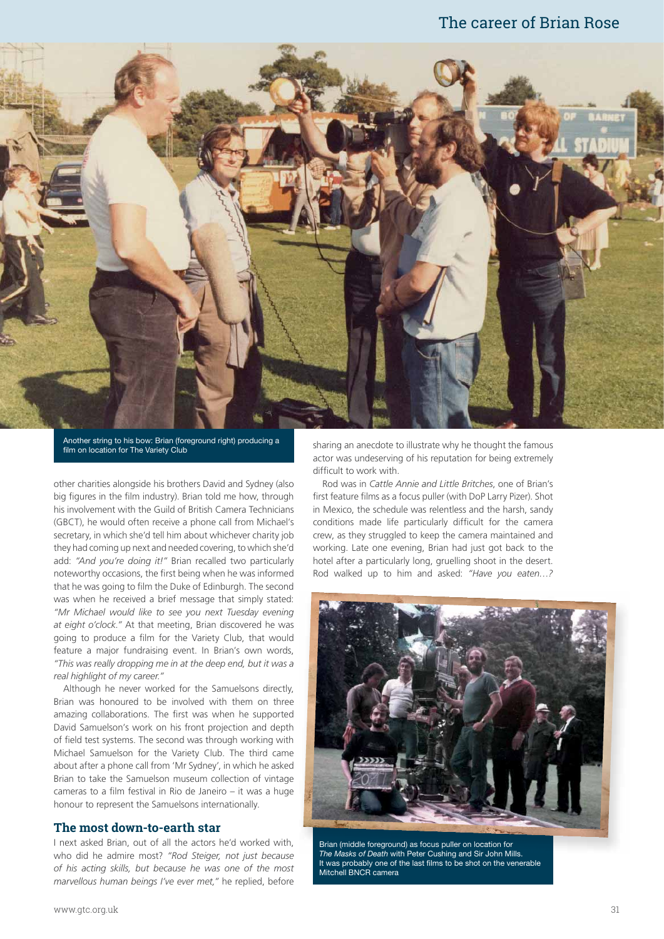### The career of Brian Rose



Another string to his bow: Brian (foreground right) producing a film on location for The Variety Club

other charities alongside his brothers David and Sydney (also big figures in the film industry). Brian told me how, through his involvement with the Guild of British Camera Technicians (GBCT), he would often receive a phone call from Michael's secretary, in which she'd tell him about whichever charity job they had coming up next and needed covering, to which she'd add: *"And you're doing it!"* Brian recalled two particularly noteworthy occasions, the first being when he was informed that he was going to film the Duke of Edinburgh. The second was when he received a brief message that simply stated: *"Mr Michael would like to see you next Tuesday evening at eight o'clock."* At that meeting, Brian discovered he was going to produce a film for the Variety Club, that would feature a major fundraising event. In Brian's own words, *"This was really dropping me in at the deep end, but it was a real highlight of my career."*

Although he never worked for the Samuelsons directly, Brian was honoured to be involved with them on three amazing collaborations. The first was when he supported David Samuelson's work on his front projection and depth of field test systems. The second was through working with Michael Samuelson for the Variety Club. The third came about after a phone call from 'Mr Sydney', in which he asked Brian to take the Samuelson museum collection of vintage cameras to a film festival in Rio de Janeiro – it was a huge honour to represent the Samuelsons internationally.

#### **The most down-to-earth star**

I next asked Brian, out of all the actors he'd worked with, who did he admire most? *"Rod Steiger, not just because of his acting skills, but because he was one of the most marvellous human beings I've ever met,"* he replied, before

sharing an anecdote to illustrate why he thought the famous actor was undeserving of his reputation for being extremely difficult to work with.

Rod was in *Cattle Annie and Little Britches*, one of Brian's first feature films as a focus puller (with DoP Larry Pizer). Shot in Mexico, the schedule was relentless and the harsh, sandy conditions made life particularly difficult for the camera crew, as they struggled to keep the camera maintained and working. Late one evening, Brian had just got back to the hotel after a particularly long, gruelling shoot in the desert. Rod walked up to him and asked: *"Have you eaten…?* 



Brian (middle foreground) as focus puller on location for for The Masks of Death with Peter Cushing and Sir John Mills. It was probably one of the last films to be shot on the venerable Mitchell BNCR camera